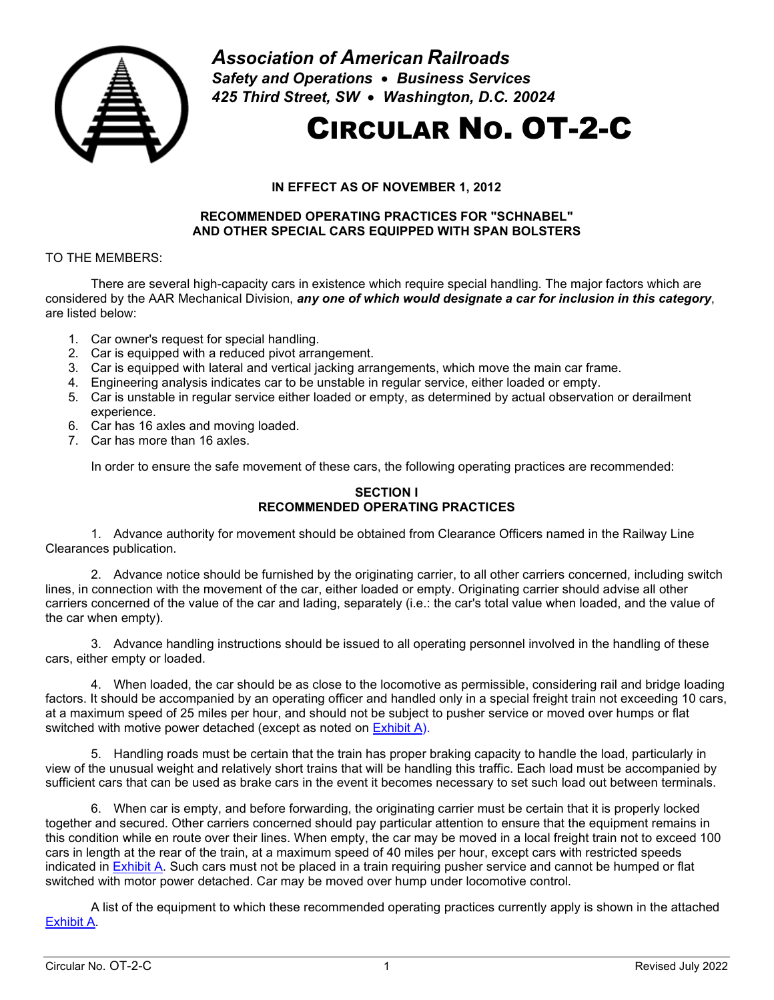

*Association of American Railroads Safety and Operations* • *Business Services 425 Third Street, SW* • *Washington, D.C. 20024*

# CIRCULAR NO. OT-2-C

# **IN EFFECT AS OF NOVEMBER 1, 2012**

## **RECOMMENDED OPERATING PRACTICES FOR "SCHNABEL" AND OTHER SPECIAL CARS EQUIPPED WITH SPAN BOLSTERS**

# TO THE MEMBERS:

There are several high-capacity cars in existence which require special handling. The major factors which are considered by the AAR Mechanical Division, *any one of which would designate a car for inclusion in this category*, are listed below:

- 1. Car owner's request for special handling.
- 2. Car is equipped with a reduced pivot arrangement.
- 3. Car is equipped with lateral and vertical jacking arrangements, which move the main car frame.
- 4. Engineering analysis indicates car to be unstable in regular service, either loaded or empty.
- 5. Car is unstable in regular service either loaded or empty, as determined by actual observation or derailment experience.
- 6. Car has 16 axles and moving loaded.
- 7. Car has more than 16 axles.

In order to ensure the safe movement of these cars, the following operating practices are recommended:

#### **SECTION I RECOMMENDED OPERATING PRACTICES**

1. Advance authority for movement should be obtained from Clearance Officers named in the Railway Line Clearances publication.

2. Advance notice should be furnished by the originating carrier, to all other carriers concerned, including switch lines, in connection with the movement of the car, either loaded or empty. Originating carrier should advise all other carriers concerned of the value of the car and lading, separately (i.e.: the car's total value when loaded, and the value of the car when empty).

3. Advance handling instructions should be issued to all operating personnel involved in the handling of these cars, either empty or loaded.

4. When loaded, the car should be as close to the locomotive as permissible, considering rail and bridge loading factors. It should be accompanied by an operating officer and handled only in a special freight train not exceeding 10 cars, at a maximum speed of 25 miles per hour, and should not be subject to pusher service or moved over humps or flat switched with motive power detached (except as noted on [Exhibit A\)](#page-2-0).

5. Handling roads must be certain that the train has proper braking capacity to handle the load, particularly in view of the unusual weight and relatively short trains that will be handling this traffic. Each load must be accompanied by sufficient cars that can be used as brake cars in the event it becomes necessary to set such load out between terminals.

6. When car is empty, and before forwarding, the originating carrier must be certain that it is properly locked together and secured. Other carriers concerned should pay particular attention to ensure that the equipment remains in this condition while en route over their lines. When empty, the car may be moved in a local freight train not to exceed 100 cars in length at the rear of the train, at a maximum speed of 40 miles per hour, except cars with restricted speeds indicated in [Exhibit A.](#page-2-0) Such cars must not be placed in a train requiring pusher service and cannot be humped or flat switched with motor power detached. Car may be moved over hump under locomotive control.

A list of the equipment to which these recommended operating practices currently apply is shown in the attached [Exhibit A.](#page-2-0)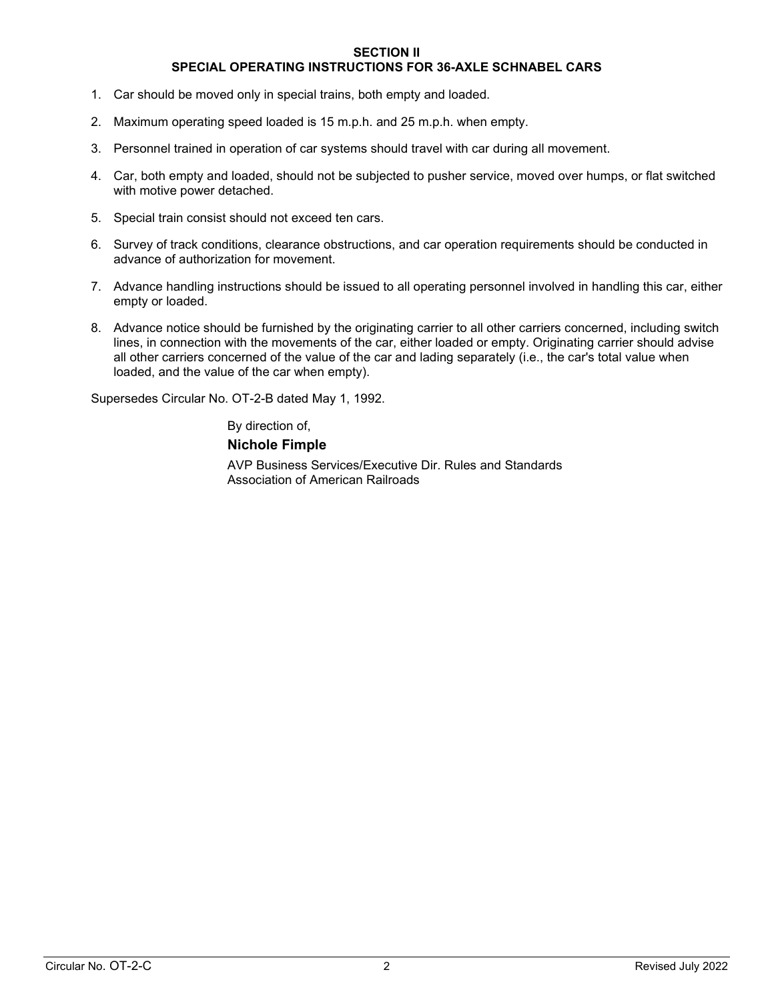#### **SECTION II**

# **SPECIAL OPERATING INSTRUCTIONS FOR 36-AXLE SCHNABEL CARS**

- 1. Car should be moved only in special trains, both empty and loaded.
- 2. Maximum operating speed loaded is 15 m.p.h. and 25 m.p.h. when empty.
- 3. Personnel trained in operation of car systems should travel with car during all movement.
- 4. Car, both empty and loaded, should not be subjected to pusher service, moved over humps, or flat switched with motive power detached.
- 5. Special train consist should not exceed ten cars.
- 6. Survey of track conditions, clearance obstructions, and car operation requirements should be conducted in advance of authorization for movement.
- 7. Advance handling instructions should be issued to all operating personnel involved in handling this car, either empty or loaded.
- 8. Advance notice should be furnished by the originating carrier to all other carriers concerned, including switch lines, in connection with the movements of the car, either loaded or empty. Originating carrier should advise all other carriers concerned of the value of the car and lading separately (i.e., the car's total value when loaded, and the value of the car when empty).

Supersedes Circular No. OT-2-B dated May 1, 1992.

By direction of, **Nichole Fimple** AVP Business Services/Executive Dir. Rules and Standards Association of American Railroads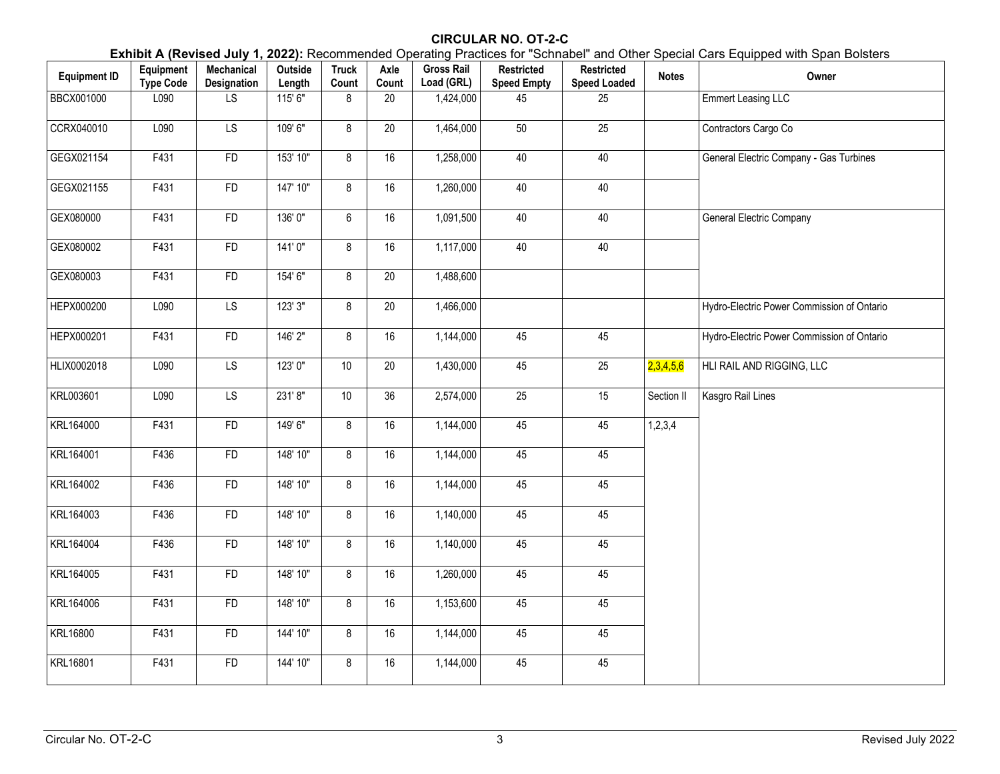# **CIRCULAR NO. OT-2-C**

**Exhibit A (Revised July 1, 2022):** Recommended Operating Practices for "Schnabel" and Other Special Cars Equipped with Span Bolsters

<span id="page-2-0"></span>

| <b>Equipment ID</b> | Equipment<br><b>Type Code</b> | Mechanical<br>Designation | Outside<br>Length | <b>Truck</b><br>Count | Axle<br>Count | <b>Gross Rail</b><br>Load (GRL) | <b>Restricted</b><br><b>Speed Empty</b> | <b>Restricted</b><br><b>Speed Loaded</b> | <b>Notes</b> | Owner                                      |
|---------------------|-------------------------------|---------------------------|-------------------|-----------------------|---------------|---------------------------------|-----------------------------------------|------------------------------------------|--------------|--------------------------------------------|
| BBCX001000          | L090                          | $\overline{LS}$           | 115' 6"           | 8                     | 20            | 1,424,000                       | 45                                      | 25                                       |              | <b>Emmert Leasing LLC</b>                  |
| CCRX040010          | L090                          | LS                        | 109'6"            | 8                     | $20\,$        | 1,464,000                       | $50\,$                                  | 25                                       |              | Contractors Cargo Co                       |
| GEGX021154          | F431                          | <b>FD</b>                 | 153' 10"          | 8                     | 16            | 1,258,000                       | 40                                      | 40                                       |              | General Electric Company - Gas Turbines    |
| GEGX021155          | F431                          | <b>FD</b>                 | 147' 10"          | 8                     | 16            | 1,260,000                       | 40                                      | 40                                       |              |                                            |
| GEX080000           | F431                          | <b>FD</b>                 | 136'0"            | $6\phantom{a}$        | 16            | 1,091,500                       | 40                                      | 40                                       |              | <b>General Electric Company</b>            |
| GEX080002           | F431                          | <b>FD</b>                 | 141'0"            | 8                     | 16            | 1,117,000                       | 40                                      | 40                                       |              |                                            |
| GEX080003           | F431                          | FD                        | 154' 6"           | 8                     | 20            | 1,488,600                       |                                         |                                          |              |                                            |
| HEPX000200          | L090                          | $\overline{LS}$           | 123'3''           | 8                     | 20            | 1,466,000                       |                                         |                                          |              | Hydro-Electric Power Commission of Ontario |
| HEPX000201          | $\overline{F4}31$             | FD                        | 146' 2"           | 8                     | 16            | 1,144,000                       | 45                                      | 45                                       |              | Hydro-Electric Power Commission of Ontario |
| HLIX0002018         | L090                          | <b>LS</b>                 | 123'0"            | 10 <sup>1</sup>       | $20\,$        | 1,430,000                       | 45                                      | 25                                       | 2,3,4,5,6    | HLI RAIL AND RIGGING, LLC                  |
| KRL003601           | L090                          | <b>LS</b>                 | 231'8"            | 10 <sup>°</sup>       | 36            | 2,574,000                       | $\overline{25}$                         | 15                                       | Section II   | Kasgro Rail Lines                          |
| KRL164000           | F431                          | FD                        | 149'6"            | 8                     | 16            | 1,144,000                       | 45                                      | 45                                       | 1,2,3,4      |                                            |
| KRL164001           | F436                          | <b>FD</b>                 | 148' 10"          | 8                     | 16            | 1,144,000                       | 45                                      | 45                                       |              |                                            |
| KRL164002           | F436                          | <b>FD</b>                 | 148' 10"          | 8                     | 16            | 1,144,000                       | 45                                      | 45                                       |              |                                            |
| KRL164003           | F436                          | ${\sf FD}$                | 148' 10"          | 8                     | 16            | 1,140,000                       | 45                                      | 45                                       |              |                                            |
| KRL164004           | F436                          | <b>FD</b>                 | 148' 10"          | 8                     | 16            | 1,140,000                       | 45                                      | 45                                       |              |                                            |
| KRL164005           | F431                          | <b>FD</b>                 | 148' 10"          | 8                     | 16            | 1,260,000                       | 45                                      | 45                                       |              |                                            |
| KRL164006           | F431                          | <b>FD</b>                 | 148' 10"          | 8                     | 16            | 1,153,600                       | 45                                      | 45                                       |              |                                            |
| KRL16800            | F431                          | FD                        | 144' 10"          | 8                     | 16            | 1,144,000                       | 45                                      | 45                                       |              |                                            |
| KRL16801            | F431                          | <b>FD</b>                 | 144' 10"          | 8                     | 16            | 1,144,000                       | 45                                      | 45                                       |              |                                            |